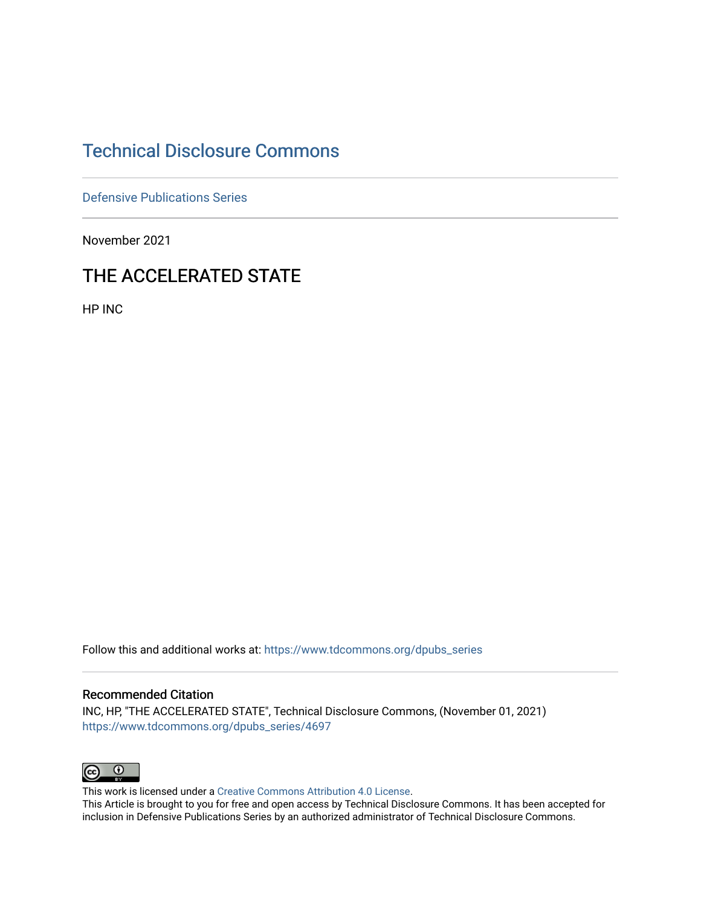## [Technical Disclosure Commons](https://www.tdcommons.org/)

[Defensive Publications Series](https://www.tdcommons.org/dpubs_series)

November 2021

## THE ACCELERATED STATE

HP INC

Follow this and additional works at: [https://www.tdcommons.org/dpubs\\_series](https://www.tdcommons.org/dpubs_series?utm_source=www.tdcommons.org%2Fdpubs_series%2F4697&utm_medium=PDF&utm_campaign=PDFCoverPages) 

## Recommended Citation

INC, HP, "THE ACCELERATED STATE", Technical Disclosure Commons, (November 01, 2021) [https://www.tdcommons.org/dpubs\\_series/4697](https://www.tdcommons.org/dpubs_series/4697?utm_source=www.tdcommons.org%2Fdpubs_series%2F4697&utm_medium=PDF&utm_campaign=PDFCoverPages)



This work is licensed under a [Creative Commons Attribution 4.0 License](http://creativecommons.org/licenses/by/4.0/deed.en_US).

This Article is brought to you for free and open access by Technical Disclosure Commons. It has been accepted for inclusion in Defensive Publications Series by an authorized administrator of Technical Disclosure Commons.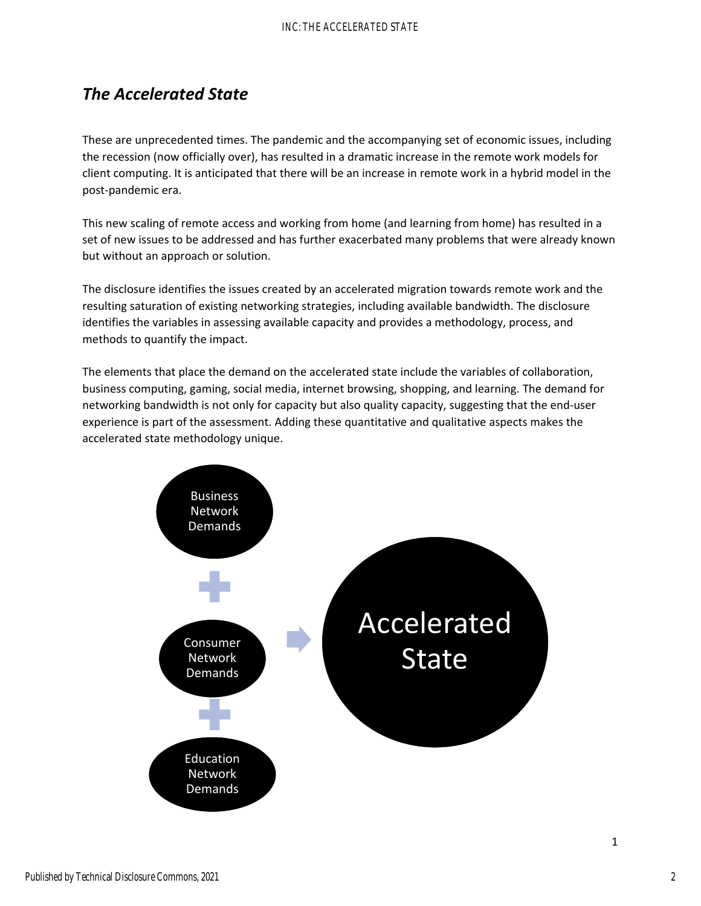## *The Accelerated State*

These are unprecedented times. The pandemic and the accompanying set of economic issues, including the recession (now officially over), has resulted in a dramatic increase in the remote work models for client computing. It is anticipated that there will be an increase in remote work in a hybrid model in the post‐pandemic era.

This new scaling of remote access and working from home (and learning from home) has resulted in a set of new issues to be addressed and has further exacerbated many problems that were already known but without an approach or solution.

The disclosure identifies the issues created by an accelerated migration towards remote work and the resulting saturation of existing networking strategies, including available bandwidth. The disclosure identifies the variables in assessing available capacity and provides a methodology, process, and methods to quantify the impact.

The elements that place the demand on the accelerated state include the variables of collaboration, business computing, gaming, social media, internet browsing, shopping, and learning. The demand for networking bandwidth is not only for capacity but also quality capacity, suggesting that the end‐user experience is part of the assessment. Adding these quantitative and qualitative aspects makes the accelerated state methodology unique.



1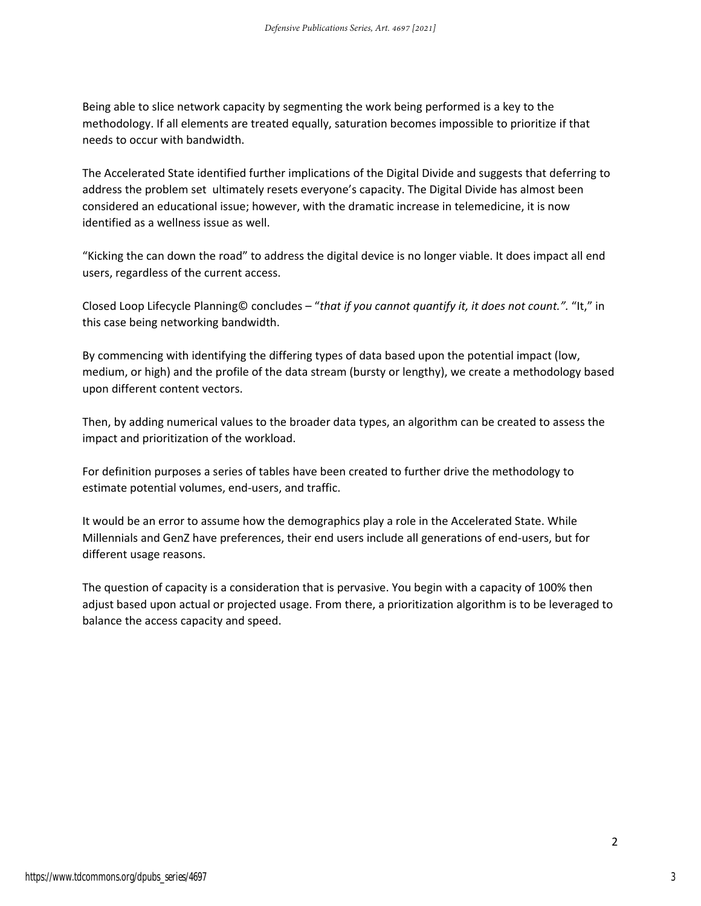Being able to slice network capacity by segmenting the work being performed is a key to the methodology. If all elements are treated equally, saturation becomes impossible to prioritize if that needs to occur with bandwidth.

The Accelerated State identified further implications of the Digital Divide and suggests that deferring to address the problem set ultimately resets everyone's capacity. The Digital Divide has almost been considered an educational issue; however, with the dramatic increase in telemedicine, it is now identified as a wellness issue as well.

"Kicking the can down the road" to address the digital device is no longer viable. It does impact all end users, regardless of the current access.

Closed Loop Lifecycle Planning© concludes – "*that if you cannot quantify it, it does not count.".* "It," in this case being networking bandwidth.

By commencing with identifying the differing types of data based upon the potential impact (low, medium, or high) and the profile of the data stream (bursty or lengthy), we create a methodology based upon different content vectors.

Then, by adding numerical values to the broader data types, an algorithm can be created to assess the impact and prioritization of the workload.

For definition purposes a series of tables have been created to further drive the methodology to estimate potential volumes, end‐users, and traffic.

It would be an error to assume how the demographics play a role in the Accelerated State. While Millennials and GenZ have preferences, their end users include all generations of end‐users, but for different usage reasons.

The question of capacity is a consideration that is pervasive. You begin with a capacity of 100% then adjust based upon actual or projected usage. From there, a prioritization algorithm is to be leveraged to balance the access capacity and speed.

3